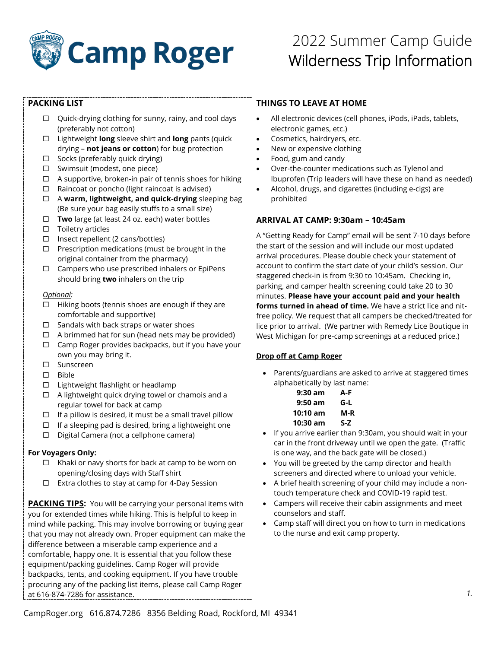

## **PACKING LIST**

- $\Box$  Quick-drying clothing for sunny, rainy, and cool days (preferably not cotton)
- Lightweight **long** sleeve shirt and **long** pants (quick drying – **not jeans or cotton**) for bug protection
- $\Box$  Socks (preferably quick drying)
- $\Box$  Swimsuit (modest, one piece)
- $\Box$  A supportive, broken-in pair of tennis shoes for hiking
- $\Box$  Raincoat or poncho (light raincoat is advised)
- A **warm, lightweight, and quick-drying** sleeping bag (Be sure your bag easily stuffs to a small size)
- **Two** large (at least 24 oz. each) water bottles
- $\square$  Toiletry articles
- $\square$  Insect repellent (2 cans/bottles)
- $\Box$  Prescription medications (must be brought in the original container from the pharmacy)
- $\Box$  Campers who use prescribed inhalers or EpiPens should bring **two** inhalers on the trip

#### *Optional:*

- $\Box$  Hiking boots (tennis shoes are enough if they are comfortable and supportive)
- $\square$  Sandals with back straps or water shoes
- $\Box$  A brimmed hat for sun (head nets may be provided)
- $\Box$  Camp Roger provides backpacks, but if you have your own you may bring it.
- □ Sunscreen
- $\Box$  Bible
- $\Box$  Lightweight flashlight or headlamp
- $\Box$  A lightweight quick drying towel or chamois and a regular towel for back at camp
- $\Box$  If a pillow is desired, it must be a small travel pillow
- $\Box$  If a sleeping pad is desired, bring a lightweight one
- $\Box$  Digital Camera (not a cellphone camera)

#### **For Voyagers Only:**

- $\Box$  Khaki or navy shorts for back at camp to be worn on opening/closing days with Staff shirt
- $\Box$  Extra clothes to stay at camp for 4-Day Session

**PACKING TIPS:** You will be carrying your personal items with you for extended times while hiking. This is helpful to keep in mind while packing. This may involve borrowing or buying gear that you may not already own. Proper equipment can make the difference between a miserable camp experience and a comfortable, happy one. It is essential that you follow these equipment/packing guidelines. Camp Roger will provide backpacks, tents, and cooking equipment. If you have trouble procuring any of the packing list items, please call Camp Roger at 616-874-7286 for assistance.

## **THINGS TO LEAVE AT HOME**

- All electronic devices (cell phones, iPods, iPads, tablets, electronic games, etc.)
- Cosmetics, hairdryers, etc.
- New or expensive clothing
- Food, gum and candy
- Over-the-counter medications such as Tylenol and Ibuprofen (Trip leaders will have these on hand as needed)
- Alcohol, drugs, and cigarettes (including e-cigs) are prohibited

## **ARRIVAL AT CAMP: 9:30am – 10:45am**

A "Getting Ready for Camp" email will be sent 7-10 days before the start of the session and will include our most updated arrival procedures. Please double check your statement of account to confirm the start date of your child's session. Our staggered check-in is from 9:30 to 10:45am. Checking in, parking, and camper health screening could take 20 to 30 minutes. **Please have your account paid and your health forms turned in ahead of time.** We have a strict lice and nitfree policy. We request that all campers be checked/treated for lice prior to arrival. (We partner with Remedy Lice Boutique in West Michigan for pre-camp screenings at a reduced price.)

#### **Drop off at Camp Roger**

• Parents/guardians are asked to arrive at staggered times alphabetically by last name:

| 9:30 am   | A-F |
|-----------|-----|
| $9:50$ am | G-L |
| 10:10 am  | M-R |
| 10:30 am  | S-Z |

- If you arrive earlier than 9:30am, you should wait in your car in the front driveway until we open the gate. (Traffic is one way, and the back gate will be closed.)
- You will be greeted by the camp director and health screeners and directed where to unload your vehicle.
- A brief health screening of your child may include a nontouch temperature check and COVID-19 rapid test.
- Campers will receive their cabin assignments and meet counselors and staff.
- Camp staff will direct you on how to turn in medications to the nurse and exit camp property.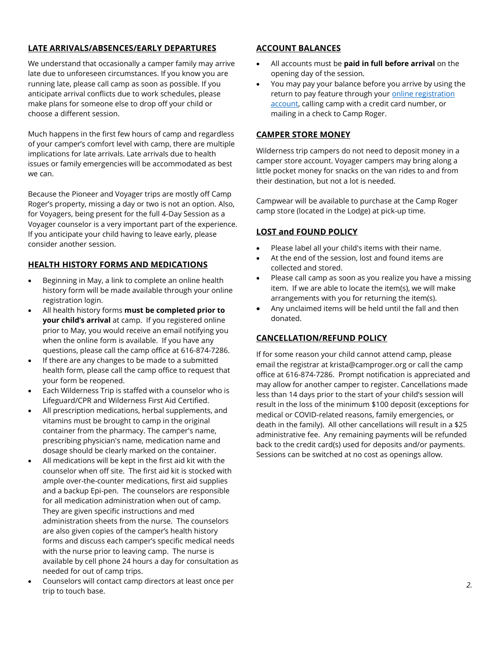### **LATE ARRIVALS/ABSENCES/EARLY DEPARTURES**

We understand that occasionally a camper family may arrive late due to unforeseen circumstances. If you know you are running late, please call camp as soon as possible. If you anticipate arrival conflicts due to work schedules, please make plans for someone else to drop off your child or choose a different session.

Much happens in the first few hours of camp and regardless of your camper's comfort level with camp, there are multiple implications for late arrivals. Late arrivals due to health issues or family emergencies will be accommodated as best we can.

Because the Pioneer and Voyager trips are mostly off Camp Roger's property, missing a day or two is not an option. Also, for Voyagers, being present for the full 4-Day Session as a Voyager counselor is a very important part of the experience. If you anticipate your child having to leave early, please consider another session.

### **HEALTH HISTORY FORMS AND MEDICATIONS**

- Beginning in May, a link to complete an online health history form will be made available through your online registration login.
- All health history forms **must be completed prior to your child's arrival** at camp. If you registered online prior to May, you would receive an email notifying you when the online form is available. If you have any questions, please call the camp office at 616-874-7286.
- If there are any changes to be made to a submitted health form, please call the camp office to request that your form be reopened.
- Each Wilderness Trip is staffed with a counselor who is Lifeguard/CPR and Wilderness First Aid Certified.
- All prescription medications, herbal supplements, and vitamins must be brought to camp in the original container from the pharmacy. The camper's name, prescribing physician's name, medication name and dosage should be clearly marked on the container.
- All medications will be kept in the first aid kit with the counselor when off site. The first aid kit is stocked with ample over-the-counter medications, first aid supplies and a backup Epi-pen. The counselors are responsible for all medication administration when out of camp. They are given specific instructions and med administration sheets from the nurse. The counselors are also given copies of the camper's health history forms and discuss each camper's specific medical needs with the nurse prior to leaving camp. The nurse is available by cell phone 24 hours a day for consultation as needed for out of camp trips.
- Counselors will contact camp directors at least once per trip to touch base.

## **ACCOUNT BALANCES**

- All accounts must be **paid in full before arrival** on the opening day of the session.
- You may pay your balance before you arrive by using the return to pay feature through your online registration [account,](https://camproger.campbrainregistration.com/) calling camp with a credit card number, or mailing in a check to Camp Roger.

#### **CAMPER STORE MONEY**

Wilderness trip campers do not need to deposit money in a camper store account. Voyager campers may bring along a little pocket money for snacks on the van rides to and from their destination, but not a lot is needed.

Campwear will be available to purchase at the Camp Roger camp store (located in the Lodge) at pick-up time.

### **LOST and FOUND POLICY**

- Please label all your child's items with their name.
- At the end of the session, lost and found items are collected and stored.
- Please call camp as soon as you realize you have a missing item. If we are able to locate the item(s), we will make arrangements with you for returning the item(s).
- Any unclaimed items will be held until the fall and then donated.

#### **CANCELLATION/REFUND POLICY**

If for some reason your child cannot attend camp, please email the registrar at krista@camproger.org or call the camp office at 616-874-7286. Prompt notification is appreciated and may allow for another camper to register. Cancellations made less than 14 days prior to the start of your child's session will result in the loss of the minimum \$100 deposit (exceptions for medical or COVID-related reasons, family emergencies, or death in the family). All other cancellations will result in a \$25 administrative fee. Any remaining payments will be refunded back to the credit card(s) used for deposits and/or payments. Sessions can be switched at no cost as openings allow.